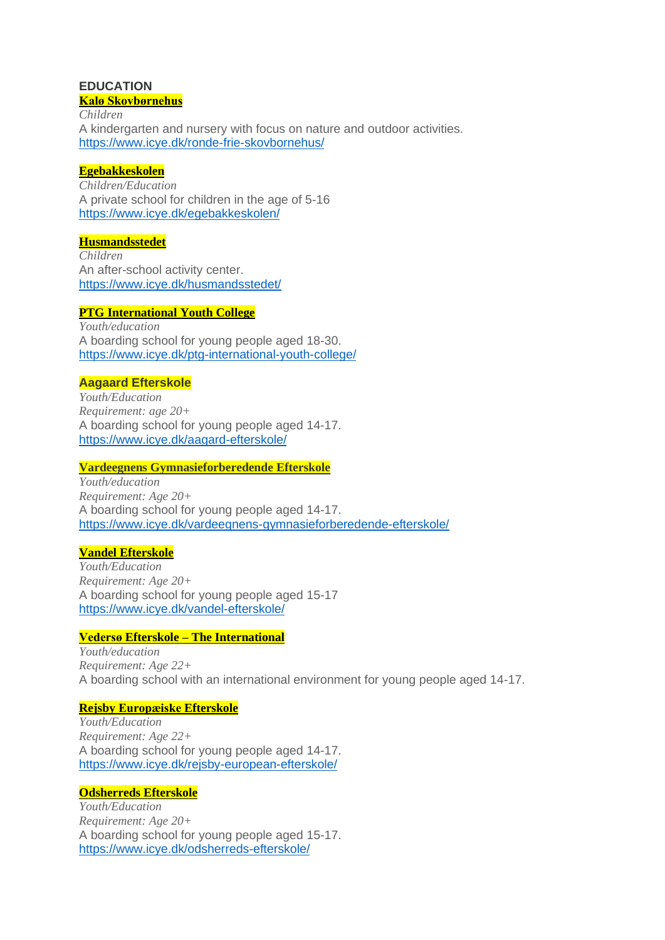### **EDUCATION Kalø [Skovbørnehus](https://eur02.safelinks.protection.outlook.com/?url=https%3A%2F%2Fwww.icye.dk%2Fronde-frie-skovbornehus%2F&data=04%7C01%7Cesc%40icye.dk%7Ce9bce71aec9b47d686d808d8a3369d3d%7Cf0f6aef7e887406192d44a4f3aa8f17e%7C0%7C0%7C637438802251481423%7CUnknown%7CTWFpbGZsb3d8eyJWIjoiMC4wLjAwMDAiLCJQIjoiV2luMzIiLCJBTiI6Ik1haWwiLCJXVCI6Mn0%3D%7C1000&sdata=d8LJkLzAOiA3JtUgpF%2B057ElcSEH0H2WylzX6hIBWiA%3D&reserved=0)**

*Children* A kindergarten and nursery with focus on nature and outdoor activities. [https://www.icye.dk/ronde-frie-skovbornehus/](https://eur02.safelinks.protection.outlook.com/?url=https%3A%2F%2Fwww.icye.dk%2Fronde-frie-skovbornehus%2F&data=04%7C01%7Cesc%40icye.dk%7Ce9bce71aec9b47d686d808d8a3369d3d%7Cf0f6aef7e887406192d44a4f3aa8f17e%7C0%7C0%7C637438802251481423%7CUnknown%7CTWFpbGZsb3d8eyJWIjoiMC4wLjAwMDAiLCJQIjoiV2luMzIiLCJBTiI6Ik1haWwiLCJXVCI6Mn0%3D%7C1000&sdata=d8LJkLzAOiA3JtUgpF%2B057ElcSEH0H2WylzX6hIBWiA%3D&reserved=0)

## **[Egebakkeskolen](https://eur02.safelinks.protection.outlook.com/?url=https%3A%2F%2Fwww.icye.dk%2Fegebakkeskolen%2F&data=04%7C01%7Cesc%40icye.dk%7Ce9bce71aec9b47d686d808d8a3369d3d%7Cf0f6aef7e887406192d44a4f3aa8f17e%7C0%7C0%7C637438802251491380%7CUnknown%7CTWFpbGZsb3d8eyJWIjoiMC4wLjAwMDAiLCJQIjoiV2luMzIiLCJBTiI6Ik1haWwiLCJXVCI6Mn0%3D%7C1000&sdata=wCwvU2oLDKmWOUR2cHr7NkouIU9xqcegREx%2Fu4dgxNM%3D&reserved=0)**

*Children/Education* A private school for children in the age of 5-16 [https://www.icye.dk/egebakkeskolen/](https://eur02.safelinks.protection.outlook.com/?url=https%3A%2F%2Fwww.icye.dk%2Fegebakkeskolen%2F&data=04%7C01%7Cesc%40icye.dk%7Ce9bce71aec9b47d686d808d8a3369d3d%7Cf0f6aef7e887406192d44a4f3aa8f17e%7C0%7C0%7C637438802251491380%7CUnknown%7CTWFpbGZsb3d8eyJWIjoiMC4wLjAwMDAiLCJQIjoiV2luMzIiLCJBTiI6Ik1haWwiLCJXVCI6Mn0%3D%7C1000&sdata=wCwvU2oLDKmWOUR2cHr7NkouIU9xqcegREx%2Fu4dgxNM%3D&reserved=0)

### **[Husmandsstedet](https://eur02.safelinks.protection.outlook.com/?url=https%3A%2F%2Fwww.icye.dk%2Fhusmandsstedet%2F&data=04%7C01%7Cesc%40icye.dk%7Ce9bce71aec9b47d686d808d8a3369d3d%7Cf0f6aef7e887406192d44a4f3aa8f17e%7C0%7C0%7C637438802251491380%7CUnknown%7CTWFpbGZsb3d8eyJWIjoiMC4wLjAwMDAiLCJQIjoiV2luMzIiLCJBTiI6Ik1haWwiLCJXVCI6Mn0%3D%7C1000&sdata=KXI%2Fgapz7TZE1wLeRmLX5O9Z2tJAg4hbWhSvy4QKd4g%3D&reserved=0)**

*Children* An after-school activity center. [https://www.icye.dk/husmandsstedet/](https://eur02.safelinks.protection.outlook.com/?url=https%3A%2F%2Fwww.icye.dk%2Fhusmandsstedet%2F&data=04%7C01%7Cesc%40icye.dk%7Ce9bce71aec9b47d686d808d8a3369d3d%7Cf0f6aef7e887406192d44a4f3aa8f17e%7C0%7C0%7C637438802251501337%7CUnknown%7CTWFpbGZsb3d8eyJWIjoiMC4wLjAwMDAiLCJQIjoiV2luMzIiLCJBTiI6Ik1haWwiLCJXVCI6Mn0%3D%7C1000&sdata=hltydi6rLiJlbwDL4nZm6TOiVxto%2BMvZdtnkTbslZTA%3D&reserved=0)

# **PTG [International](https://eur02.safelinks.protection.outlook.com/?url=https%3A%2F%2Fwww.icye.dk%2Fptg-international-youth-college%2F&data=04%7C01%7Cesc%40icye.dk%7Ce9bce71aec9b47d686d808d8a3369d3d%7Cf0f6aef7e887406192d44a4f3aa8f17e%7C0%7C0%7C637438802251501337%7CUnknown%7CTWFpbGZsb3d8eyJWIjoiMC4wLjAwMDAiLCJQIjoiV2luMzIiLCJBTiI6Ik1haWwiLCJXVCI6Mn0%3D%7C1000&sdata=y%2Fj%2FAIX3WCyT5sR00yplMWmBhTmSyVXUZu%2FlduzPGJA%3D&reserved=0) Youth College**

*Youth/education* A boarding school for young people aged 18-30. [https://www.icye.dk/ptg-international-youth-college/](https://eur02.safelinks.protection.outlook.com/?url=https%3A%2F%2Fwww.icye.dk%2Fptg-international-youth-college%2F&data=04%7C01%7Cesc%40icye.dk%7Ce9bce71aec9b47d686d808d8a3369d3d%7Cf0f6aef7e887406192d44a4f3aa8f17e%7C0%7C0%7C637438802251501337%7CUnknown%7CTWFpbGZsb3d8eyJWIjoiMC4wLjAwMDAiLCJQIjoiV2luMzIiLCJBTiI6Ik1haWwiLCJXVCI6Mn0%3D%7C1000&sdata=y%2Fj%2FAIX3WCyT5sR00yplMWmBhTmSyVXUZu%2FlduzPGJA%3D&reserved=0)

## **Aagaard [Efterskole](https://eur02.safelinks.protection.outlook.com/?url=https%3A%2F%2Fwww.icye.dk%2Faagard-efterskole%2F&data=04%7C01%7Cesc%40icye.dk%7Ce9bce71aec9b47d686d808d8a3369d3d%7Cf0f6aef7e887406192d44a4f3aa8f17e%7C0%7C0%7C637438802251511292%7CUnknown%7CTWFpbGZsb3d8eyJWIjoiMC4wLjAwMDAiLCJQIjoiV2luMzIiLCJBTiI6Ik1haWwiLCJXVCI6Mn0%3D%7C1000&sdata=hczaNWDRR9cH8%2FBlw%2B9Nmo5a6baopFsmsVuoNbVCHr0%3D&reserved=0)**

*Youth/Education Requirement: age 20+* A boarding school for young people aged 14-17. [https://www.icye.dk/aagard-efterskole/](https://eur02.safelinks.protection.outlook.com/?url=https%3A%2F%2Fwww.icye.dk%2Faagard-efterskole%2F&data=04%7C01%7Cesc%40icye.dk%7Ce9bce71aec9b47d686d808d8a3369d3d%7Cf0f6aef7e887406192d44a4f3aa8f17e%7C0%7C0%7C637438802251511292%7CUnknown%7CTWFpbGZsb3d8eyJWIjoiMC4wLjAwMDAiLCJQIjoiV2luMzIiLCJBTiI6Ik1haWwiLCJXVCI6Mn0%3D%7C1000&sdata=hczaNWDRR9cH8%2FBlw%2B9Nmo5a6baopFsmsVuoNbVCHr0%3D&reserved=0)

### **Vardeegnens [Gymnasieforberedende](https://eur02.safelinks.protection.outlook.com/?url=https%3A%2F%2Fwww.icye.dk%2Fvardeegnens-gymnasieforberedende-efterskole%2F&data=04%7C01%7Cesc%40icye.dk%7Ce9bce71aec9b47d686d808d8a3369d3d%7Cf0f6aef7e887406192d44a4f3aa8f17e%7C0%7C0%7C637438802251511292%7CUnknown%7CTWFpbGZsb3d8eyJWIjoiMC4wLjAwMDAiLCJQIjoiV2luMzIiLCJBTiI6Ik1haWwiLCJXVCI6Mn0%3D%7C1000&sdata=5msd53A8Fg3NMJVLwQ3inw4RbBLhoqse4g7%2FJTaNElQ%3D&reserved=0) Efterskole**

*Youth/education Requirement: Age 20+* A boarding school for young people aged 14-17. [https://www.icye.dk/vardeegnens-gymnasieforberedende-efterskole/](https://eur02.safelinks.protection.outlook.com/?url=https%3A%2F%2Fwww.icye.dk%2Fvardeegnens-gymnasieforberedende-efterskole%2F&data=04%7C01%7Cesc%40icye.dk%7Ce9bce71aec9b47d686d808d8a3369d3d%7Cf0f6aef7e887406192d44a4f3aa8f17e%7C0%7C0%7C637438802251521248%7CUnknown%7CTWFpbGZsb3d8eyJWIjoiMC4wLjAwMDAiLCJQIjoiV2luMzIiLCJBTiI6Ik1haWwiLCJXVCI6Mn0%3D%7C1000&sdata=VhtC84Hd6Y%2FKhODLO8Aj0XIhHrMKiczODg1YADISdTE%3D&reserved=0)

## **Vandel [Efterskole](https://eur02.safelinks.protection.outlook.com/?url=https%3A%2F%2Fwww.icye.dk%2Fvandel-efterskole%2F&data=04%7C01%7Cesc%40icye.dk%7Ce9bce71aec9b47d686d808d8a3369d3d%7Cf0f6aef7e887406192d44a4f3aa8f17e%7C0%7C0%7C637438802251521248%7CUnknown%7CTWFpbGZsb3d8eyJWIjoiMC4wLjAwMDAiLCJQIjoiV2luMzIiLCJBTiI6Ik1haWwiLCJXVCI6Mn0%3D%7C1000&sdata=KTnSelrTdu4Fc1%2By14cmZpmb8H2T93lBozoWu9e%2F2Hw%3D&reserved=0)**

*Youth/Education Requirement: Age 20+* A boarding school for young people aged 15-17 [https://www.icye.dk/vandel-efterskole/](https://eur02.safelinks.protection.outlook.com/?url=https%3A%2F%2Fwww.icye.dk%2Fvandel-efterskole%2F&data=04%7C01%7Cesc%40icye.dk%7Ce9bce71aec9b47d686d808d8a3369d3d%7Cf0f6aef7e887406192d44a4f3aa8f17e%7C0%7C0%7C637438802251521248%7CUnknown%7CTWFpbGZsb3d8eyJWIjoiMC4wLjAwMDAiLCJQIjoiV2luMzIiLCJBTiI6Ik1haWwiLCJXVCI6Mn0%3D%7C1000&sdata=KTnSelrTdu4Fc1%2By14cmZpmb8H2T93lBozoWu9e%2F2Hw%3D&reserved=0)

## **Vedersø Efterskole – The [International](https://eur02.safelinks.protection.outlook.com/?url=https%3A%2F%2Fwww.icye.dk%2Fvedersoe-efterskole%2F&data=04%7C01%7Cesc%40icye.dk%7Ce9bce71aec9b47d686d808d8a3369d3d%7Cf0f6aef7e887406192d44a4f3aa8f17e%7C0%7C0%7C637438802251531207%7CUnknown%7CTWFpbGZsb3d8eyJWIjoiMC4wLjAwMDAiLCJQIjoiV2luMzIiLCJBTiI6Ik1haWwiLCJXVCI6Mn0%3D%7C1000&sdata=FX868YFqqEQt3vHDN1tUrWUgVnGbri0pBqQRIA6WNRI%3D&reserved=0)**

*Youth/education Requirement: Age 22+* A boarding school with an international environment for young people aged 14-17.

## **Rejsby [Europæiske](https://eur02.safelinks.protection.outlook.com/?url=https%3A%2F%2Fwww.icye.dk%2Frejsby-european-efterskole%2F&data=04%7C01%7Cesc%40icye.dk%7Ce9bce71aec9b47d686d808d8a3369d3d%7Cf0f6aef7e887406192d44a4f3aa8f17e%7C0%7C0%7C637438802251531207%7CUnknown%7CTWFpbGZsb3d8eyJWIjoiMC4wLjAwMDAiLCJQIjoiV2luMzIiLCJBTiI6Ik1haWwiLCJXVCI6Mn0%3D%7C1000&sdata=xmi%2FtMaA5%2FwcQsEaBE2AVuBavvBL1pcke4ESQRY1BMg%3D&reserved=0) Efterskole**

*Youth/Education Requirement: Age 22+* A boarding school for young people aged 14-17. [https://www.icye.dk/rejsby-european-efterskole/](https://eur02.safelinks.protection.outlook.com/?url=https%3A%2F%2Fwww.icye.dk%2Frejsby-european-efterskole%2F&data=04%7C01%7Cesc%40icye.dk%7Ce9bce71aec9b47d686d808d8a3369d3d%7Cf0f6aef7e887406192d44a4f3aa8f17e%7C0%7C0%7C637438802251531207%7CUnknown%7CTWFpbGZsb3d8eyJWIjoiMC4wLjAwMDAiLCJQIjoiV2luMzIiLCJBTiI6Ik1haWwiLCJXVCI6Mn0%3D%7C1000&sdata=xmi%2FtMaA5%2FwcQsEaBE2AVuBavvBL1pcke4ESQRY1BMg%3D&reserved=0)

### **[Odsherreds](https://eur02.safelinks.protection.outlook.com/?url=https%3A%2F%2Fwww.icye.dk%2Fodsherreds-efterskole%2F&data=04%7C01%7Cesc%40icye.dk%7Ce9bce71aec9b47d686d808d8a3369d3d%7Cf0f6aef7e887406192d44a4f3aa8f17e%7C0%7C0%7C637438802251541162%7CUnknown%7CTWFpbGZsb3d8eyJWIjoiMC4wLjAwMDAiLCJQIjoiV2luMzIiLCJBTiI6Ik1haWwiLCJXVCI6Mn0%3D%7C1000&sdata=oIb0TG3r2kQdf4pBGBY2O7zZFrTXhcqqRneDoYEiLWU%3D&reserved=0) Efterskole**

*Youth/Education Requirement: Age 20+* A boarding school for young people aged 15-17. [https://www.icye.dk/odsherreds-efterskole/](https://eur02.safelinks.protection.outlook.com/?url=https%3A%2F%2Fwww.icye.dk%2Fodsherreds-efterskole%2F&data=04%7C01%7Cesc%40icye.dk%7Ce9bce71aec9b47d686d808d8a3369d3d%7Cf0f6aef7e887406192d44a4f3aa8f17e%7C0%7C0%7C637438802251541162%7CUnknown%7CTWFpbGZsb3d8eyJWIjoiMC4wLjAwMDAiLCJQIjoiV2luMzIiLCJBTiI6Ik1haWwiLCJXVCI6Mn0%3D%7C1000&sdata=oIb0TG3r2kQdf4pBGBY2O7zZFrTXhcqqRneDoYEiLWU%3D&reserved=0)